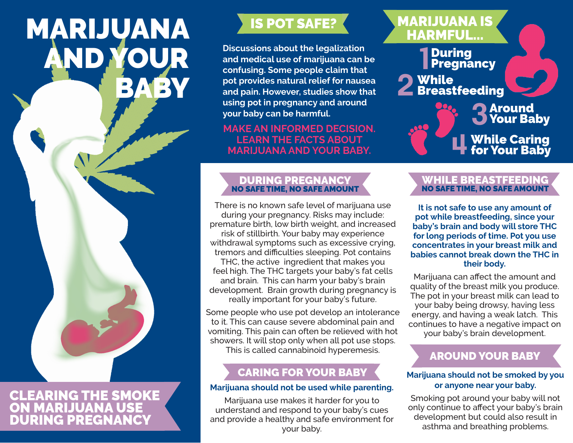# MARIJUANA AND YOUR BABY

# CLEARING THE SMOKE ON MARIJUANA USE DURING PREGNANCY

**Discussions about the legalization and medical use of marijuana can be confusing. Some people claim that pot provides natural relief for nausea and pain. However, studies show that using pot in pregnancy and around your baby can be harmful.** 

## **MAKE AN INFORMED DECISION. LEARN THE FACTS ABOUT MARIJUANA AND YOUR BABY.**

### DURING PREGNANCY NO SAFE TIME, NO SAFE AMOUNT

There is no known safe level of marijuana use during your pregnancy. Risks may include: premature birth, low birth weight, and increased risk of stillbirth. Your baby may experience withdrawal symptoms such as excessive crying, tremors and difficulties sleeping. Pot contains THC, the active ingredient that makes you feel high. The THC targets your baby's fat cells and brain. This can harm your baby's brain development. Brain growth during pregnancy is really important for your baby's future.

Some people who use pot develop an intolerance to it. This can cause severe abdominal pain and vomiting. This pain can often be relieved with hot showers. It will stop only when all pot use stops. This is called cannabinoid hyperemesis.

# CARING FOR YOUR BABY

### **Marijuana should not be used while parenting.**

Marijuana use makes it harder for you to understand and respond to your baby's cues and provide a healthy and safe environment for your baby.

# During **1** During<br>**1** Pregnancy **n** While 2 While<br>2 Breastfeeding **n** Around **3** Your Baby While Caring for Your Baby **4** MARIJUANA IS **IS POT SAFE?**<br>HARMFUL...

#### WHILE BREASTFEEDING NO SAFE TIME, NO SAFE AMOUNT

**It is not safe to use any amount of pot while breastfeeding, since your baby's brain and body will store THC for long periods of time. Pot you use concentrates in your breast milk and babies cannot break down the THC in their body.**

Marijuana can afect the amount and quality of the breast milk you produce. The pot in your breast milk can lead to your baby being drowsy, having less energy, and having a weak latch. This continues to have a negative impact on your baby's brain development.

# AROUND YOUR BABY

### **Marijuana should not be smoked by you or anyone near your baby.**

Smoking pot around your baby will not only continue to afect your baby's brain development but could also result in asthma and breathing problems.